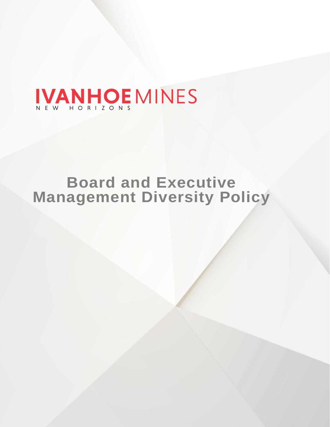# IVANHOE MINES

# **Board and Executive Management Diversity Policy**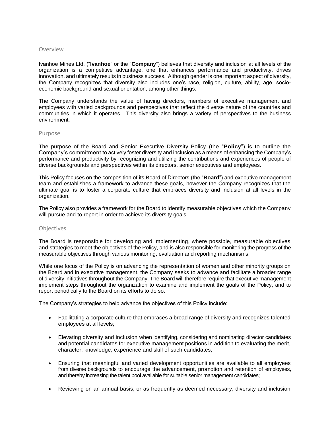#### Overview

Ivanhoe Mines Ltd. ("**Ivanhoe**" or the "**Company**") believes that diversity and inclusion at all levels of the organization is a competitive advantage, one that enhances performance and productivity, drives innovation, and ultimately results in business success. Although gender is one important aspect of diversity, the Company recognizes that diversity also includes one's race, religion, culture, ability, age, socioeconomic background and sexual orientation, among other things.

The Company understands the value of having directors, members of executive management and employees with varied backgrounds and perspectives that reflect the diverse nature of the countries and communities in which it operates. This diversity also brings a variety of perspectives to the business environment.

#### Purpose

The purpose of the Board and Senior Executive Diversity Policy (the "**Policy**") is to outline the Company's commitment to actively foster diversity and inclusion as a means of enhancing the Company's performance and productivity by recognizing and utilizing the contributions and experiences of people of diverse backgrounds and perspectives within its directors, senior executives and employees.

This Policy focuses on the composition of its Board of Directors (the "**Board**") and executive management team and establishes a framework to advance these goals, however the Company recognizes that the ultimate goal is to foster a corporate culture that embraces diversity and inclusion at all levels in the organization.

The Policy also provides a framework for the Board to identify measurable objectives which the Company will pursue and to report in order to achieve its diversity goals.

### **Objectives**

The Board is responsible for developing and implementing, where possible, measurable objectives and strategies to meet the objectives of the Policy, and is also responsible for monitoring the progress of the measurable objectives through various monitoring, evaluation and reporting mechanisms.

While one focus of the Policy is on advancing the representation of women and other minority groups on the Board and in executive management, the Company seeks to advance and facilitate a broader range of diversity initiatives throughout the Company. The Board will therefore require that executive management implement steps throughout the organization to examine and implement the goals of the Policy, and to report periodically to the Board on its efforts to do so.

The Company's strategies to help advance the objectives of this Policy include:

- Facilitating a corporate culture that embraces a broad range of diversity and recognizes talented employees at all levels;
- Elevating diversity and inclusion when identifying, considering and nominating director candidates and potential candidates for executive management positions in addition to evaluating the merit, character, knowledge, experience and skill of such candidates;
- Ensuring that meaningful and varied development opportunities are available to all employees from diverse backgrounds to encourage the advancement, promotion and retention of employees, and thereby increasing the talent pool available for suitable senior management candidates;
- Reviewing on an annual basis, or as frequently as deemed necessary, diversity and inclusion